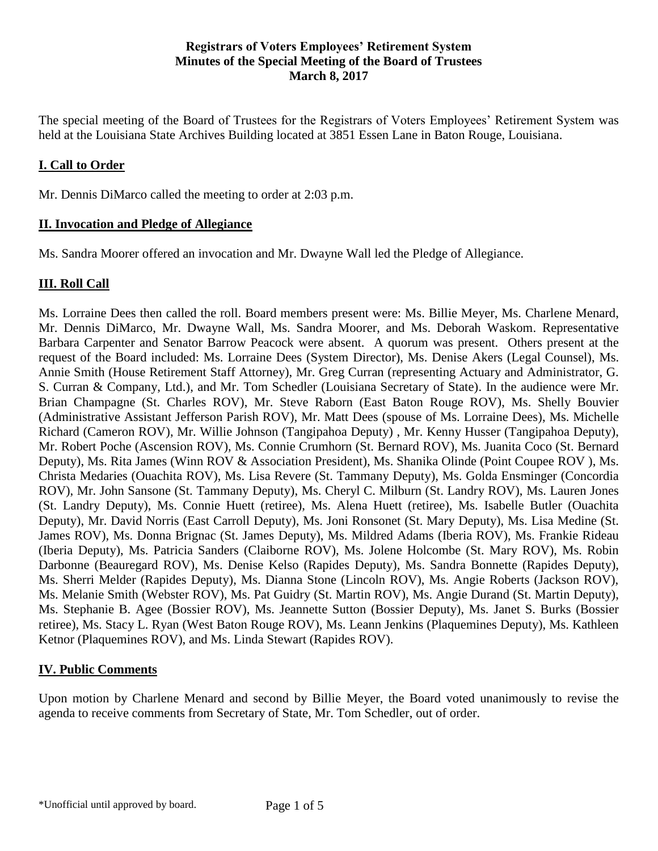#### **Registrars of Voters Employees' Retirement System Minutes of the Special Meeting of the Board of Trustees March 8, 2017**

The special meeting of the Board of Trustees for the Registrars of Voters Employees' Retirement System was held at the Louisiana State Archives Building located at 3851 Essen Lane in Baton Rouge, Louisiana.

## **I. Call to Order**

Mr. Dennis DiMarco called the meeting to order at 2:03 p.m.

#### **II. Invocation and Pledge of Allegiance**

Ms. Sandra Moorer offered an invocation and Mr. Dwayne Wall led the Pledge of Allegiance.

### **III. Roll Call**

Ms. Lorraine Dees then called the roll. Board members present were: Ms. Billie Meyer, Ms. Charlene Menard, Mr. Dennis DiMarco, Mr. Dwayne Wall, Ms. Sandra Moorer, and Ms. Deborah Waskom. Representative Barbara Carpenter and Senator Barrow Peacock were absent. A quorum was present. Others present at the request of the Board included: Ms. Lorraine Dees (System Director), Ms. Denise Akers (Legal Counsel), Ms. Annie Smith (House Retirement Staff Attorney), Mr. Greg Curran (representing Actuary and Administrator, G. S. Curran & Company, Ltd.), and Mr. Tom Schedler (Louisiana Secretary of State). In the audience were Mr. Brian Champagne (St. Charles ROV), Mr. Steve Raborn (East Baton Rouge ROV), Ms. Shelly Bouvier (Administrative Assistant Jefferson Parish ROV), Mr. Matt Dees (spouse of Ms. Lorraine Dees), Ms. Michelle Richard (Cameron ROV), Mr. Willie Johnson (Tangipahoa Deputy) , Mr. Kenny Husser (Tangipahoa Deputy), Mr. Robert Poche (Ascension ROV), Ms. Connie Crumhorn (St. Bernard ROV), Ms. Juanita Coco (St. Bernard Deputy), Ms. Rita James (Winn ROV & Association President), Ms. Shanika Olinde (Point Coupee ROV ), Ms. Christa Medaries (Ouachita ROV), Ms. Lisa Revere (St. Tammany Deputy), Ms. Golda Ensminger (Concordia ROV), Mr. John Sansone (St. Tammany Deputy), Ms. Cheryl C. Milburn (St. Landry ROV), Ms. Lauren Jones (St. Landry Deputy), Ms. Connie Huett (retiree), Ms. Alena Huett (retiree), Ms. Isabelle Butler (Ouachita Deputy), Mr. David Norris (East Carroll Deputy), Ms. Joni Ronsonet (St. Mary Deputy), Ms. Lisa Medine (St. James ROV), Ms. Donna Brignac (St. James Deputy), Ms. Mildred Adams (Iberia ROV), Ms. Frankie Rideau (Iberia Deputy), Ms. Patricia Sanders (Claiborne ROV), Ms. Jolene Holcombe (St. Mary ROV), Ms. Robin Darbonne (Beauregard ROV), Ms. Denise Kelso (Rapides Deputy), Ms. Sandra Bonnette (Rapides Deputy), Ms. Sherri Melder (Rapides Deputy), Ms. Dianna Stone (Lincoln ROV), Ms. Angie Roberts (Jackson ROV), Ms. Melanie Smith (Webster ROV), Ms. Pat Guidry (St. Martin ROV), Ms. Angie Durand (St. Martin Deputy), Ms. Stephanie B. Agee (Bossier ROV), Ms. Jeannette Sutton (Bossier Deputy), Ms. Janet S. Burks (Bossier retiree), Ms. Stacy L. Ryan (West Baton Rouge ROV), Ms. Leann Jenkins (Plaquemines Deputy), Ms. Kathleen Ketnor (Plaquemines ROV), and Ms. Linda Stewart (Rapides ROV).

### **IV. Public Comments**

Upon motion by Charlene Menard and second by Billie Meyer, the Board voted unanimously to revise the agenda to receive comments from Secretary of State, Mr. Tom Schedler, out of order.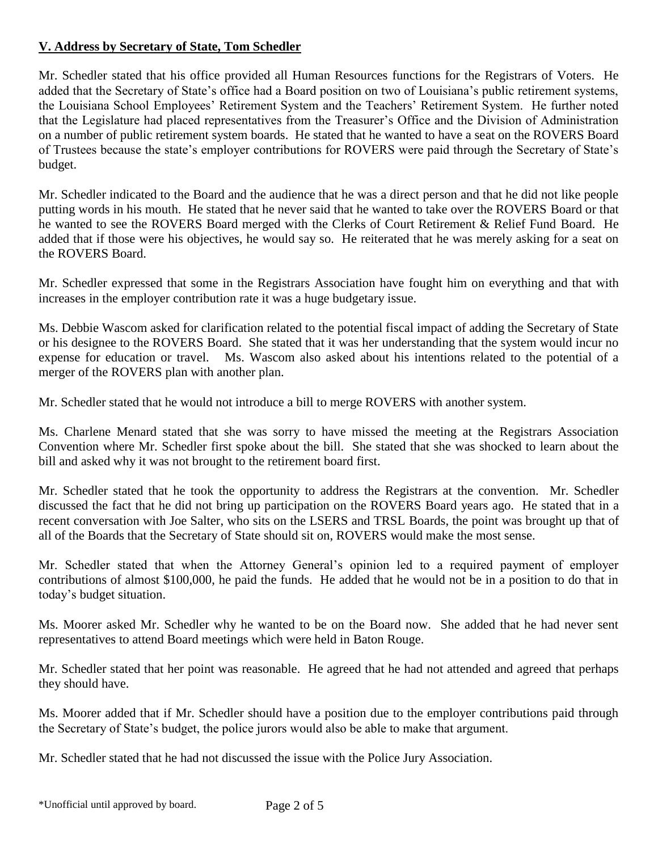## **V. Address by Secretary of State, Tom Schedler**

Mr. Schedler stated that his office provided all Human Resources functions for the Registrars of Voters. He added that the Secretary of State's office had a Board position on two of Louisiana's public retirement systems, the Louisiana School Employees' Retirement System and the Teachers' Retirement System. He further noted that the Legislature had placed representatives from the Treasurer's Office and the Division of Administration on a number of public retirement system boards. He stated that he wanted to have a seat on the ROVERS Board of Trustees because the state's employer contributions for ROVERS were paid through the Secretary of State's budget.

Mr. Schedler indicated to the Board and the audience that he was a direct person and that he did not like people putting words in his mouth. He stated that he never said that he wanted to take over the ROVERS Board or that he wanted to see the ROVERS Board merged with the Clerks of Court Retirement & Relief Fund Board. He added that if those were his objectives, he would say so. He reiterated that he was merely asking for a seat on the ROVERS Board.

Mr. Schedler expressed that some in the Registrars Association have fought him on everything and that with increases in the employer contribution rate it was a huge budgetary issue.

Ms. Debbie Wascom asked for clarification related to the potential fiscal impact of adding the Secretary of State or his designee to the ROVERS Board. She stated that it was her understanding that the system would incur no expense for education or travel. Ms. Wascom also asked about his intentions related to the potential of a merger of the ROVERS plan with another plan.

Mr. Schedler stated that he would not introduce a bill to merge ROVERS with another system.

Ms. Charlene Menard stated that she was sorry to have missed the meeting at the Registrars Association Convention where Mr. Schedler first spoke about the bill. She stated that she was shocked to learn about the bill and asked why it was not brought to the retirement board first.

Mr. Schedler stated that he took the opportunity to address the Registrars at the convention. Mr. Schedler discussed the fact that he did not bring up participation on the ROVERS Board years ago. He stated that in a recent conversation with Joe Salter, who sits on the LSERS and TRSL Boards, the point was brought up that of all of the Boards that the Secretary of State should sit on, ROVERS would make the most sense.

Mr. Schedler stated that when the Attorney General's opinion led to a required payment of employer contributions of almost \$100,000, he paid the funds. He added that he would not be in a position to do that in today's budget situation.

Ms. Moorer asked Mr. Schedler why he wanted to be on the Board now. She added that he had never sent representatives to attend Board meetings which were held in Baton Rouge.

Mr. Schedler stated that her point was reasonable. He agreed that he had not attended and agreed that perhaps they should have.

Ms. Moorer added that if Mr. Schedler should have a position due to the employer contributions paid through the Secretary of State's budget, the police jurors would also be able to make that argument.

Mr. Schedler stated that he had not discussed the issue with the Police Jury Association.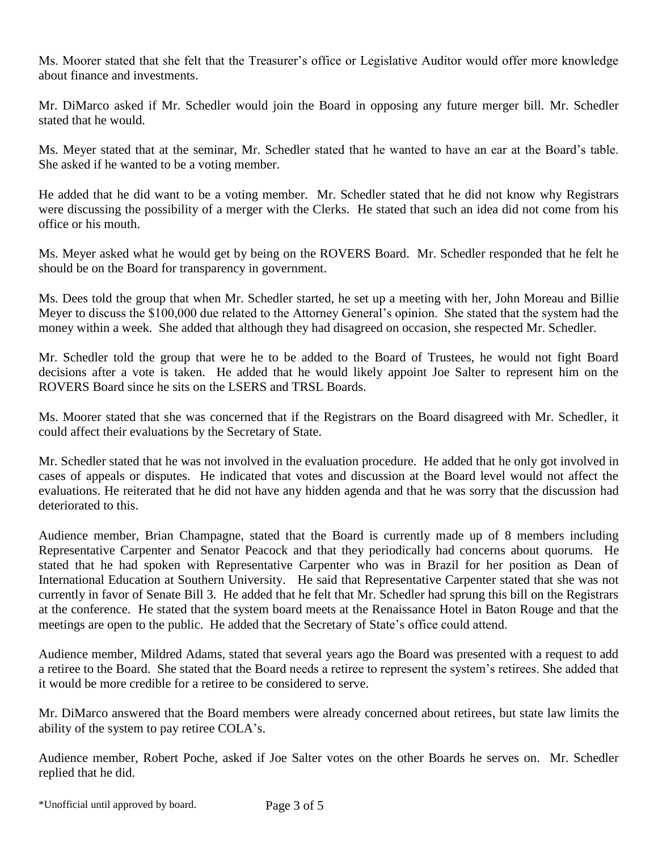Ms. Moorer stated that she felt that the Treasurer's office or Legislative Auditor would offer more knowledge about finance and investments.

Mr. DiMarco asked if Mr. Schedler would join the Board in opposing any future merger bill. Mr. Schedler stated that he would.

Ms. Meyer stated that at the seminar, Mr. Schedler stated that he wanted to have an ear at the Board's table. She asked if he wanted to be a voting member.

He added that he did want to be a voting member. Mr. Schedler stated that he did not know why Registrars were discussing the possibility of a merger with the Clerks. He stated that such an idea did not come from his office or his mouth.

Ms. Meyer asked what he would get by being on the ROVERS Board. Mr. Schedler responded that he felt he should be on the Board for transparency in government.

Ms. Dees told the group that when Mr. Schedler started, he set up a meeting with her, John Moreau and Billie Meyer to discuss the \$100,000 due related to the Attorney General's opinion. She stated that the system had the money within a week. She added that although they had disagreed on occasion, she respected Mr. Schedler.

Mr. Schedler told the group that were he to be added to the Board of Trustees, he would not fight Board decisions after a vote is taken. He added that he would likely appoint Joe Salter to represent him on the ROVERS Board since he sits on the LSERS and TRSL Boards.

Ms. Moorer stated that she was concerned that if the Registrars on the Board disagreed with Mr. Schedler, it could affect their evaluations by the Secretary of State.

Mr. Schedler stated that he was not involved in the evaluation procedure. He added that he only got involved in cases of appeals or disputes. He indicated that votes and discussion at the Board level would not affect the evaluations. He reiterated that he did not have any hidden agenda and that he was sorry that the discussion had deteriorated to this.

Audience member, Brian Champagne, stated that the Board is currently made up of 8 members including Representative Carpenter and Senator Peacock and that they periodically had concerns about quorums. He stated that he had spoken with Representative Carpenter who was in Brazil for her position as Dean of International Education at Southern University. He said that Representative Carpenter stated that she was not currently in favor of Senate Bill 3. He added that he felt that Mr. Schedler had sprung this bill on the Registrars at the conference. He stated that the system board meets at the Renaissance Hotel in Baton Rouge and that the meetings are open to the public. He added that the Secretary of State's office could attend.

Audience member, Mildred Adams, stated that several years ago the Board was presented with a request to add a retiree to the Board. She stated that the Board needs a retiree to represent the system's retirees. She added that it would be more credible for a retiree to be considered to serve.

Mr. DiMarco answered that the Board members were already concerned about retirees, but state law limits the ability of the system to pay retiree COLA's.

Audience member, Robert Poche, asked if Joe Salter votes on the other Boards he serves on. Mr. Schedler replied that he did.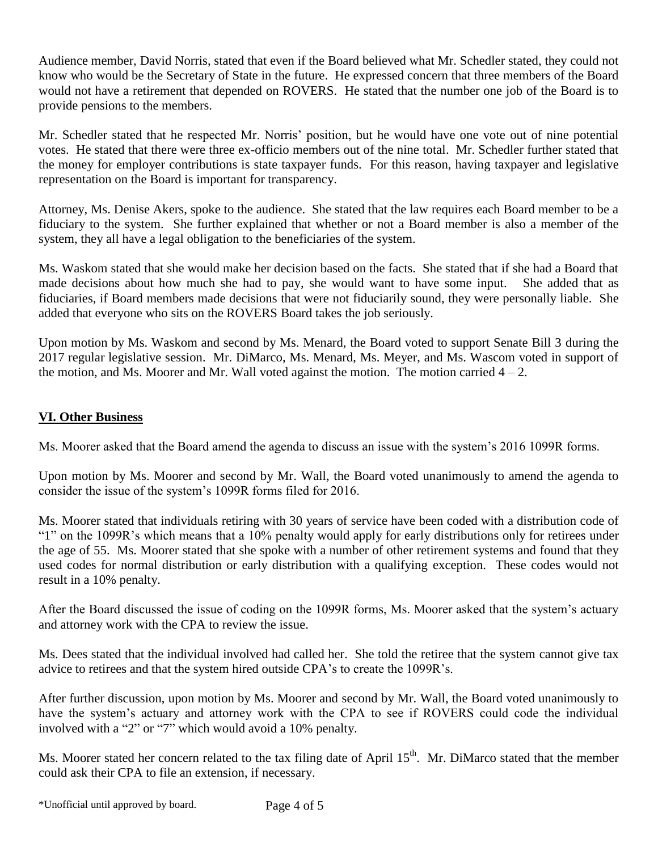Audience member, David Norris, stated that even if the Board believed what Mr. Schedler stated, they could not know who would be the Secretary of State in the future. He expressed concern that three members of the Board would not have a retirement that depended on ROVERS. He stated that the number one job of the Board is to provide pensions to the members.

Mr. Schedler stated that he respected Mr. Norris' position, but he would have one vote out of nine potential votes. He stated that there were three ex-officio members out of the nine total. Mr. Schedler further stated that the money for employer contributions is state taxpayer funds. For this reason, having taxpayer and legislative representation on the Board is important for transparency.

Attorney, Ms. Denise Akers, spoke to the audience. She stated that the law requires each Board member to be a fiduciary to the system. She further explained that whether or not a Board member is also a member of the system, they all have a legal obligation to the beneficiaries of the system.

Ms. Waskom stated that she would make her decision based on the facts. She stated that if she had a Board that made decisions about how much she had to pay, she would want to have some input. She added that as fiduciaries, if Board members made decisions that were not fiduciarily sound, they were personally liable. She added that everyone who sits on the ROVERS Board takes the job seriously.

Upon motion by Ms. Waskom and second by Ms. Menard, the Board voted to support Senate Bill 3 during the 2017 regular legislative session. Mr. DiMarco, Ms. Menard, Ms. Meyer, and Ms. Wascom voted in support of the motion, and Ms. Moorer and Mr. Wall voted against the motion. The motion carried  $4 - 2$ .

# **VI. Other Business**

Ms. Moorer asked that the Board amend the agenda to discuss an issue with the system's 2016 1099R forms.

Upon motion by Ms. Moorer and second by Mr. Wall, the Board voted unanimously to amend the agenda to consider the issue of the system's 1099R forms filed for 2016.

Ms. Moorer stated that individuals retiring with 30 years of service have been coded with a distribution code of "1" on the 1099R's which means that a 10% penalty would apply for early distributions only for retirees under the age of 55. Ms. Moorer stated that she spoke with a number of other retirement systems and found that they used codes for normal distribution or early distribution with a qualifying exception. These codes would not result in a 10% penalty.

After the Board discussed the issue of coding on the 1099R forms, Ms. Moorer asked that the system's actuary and attorney work with the CPA to review the issue.

Ms. Dees stated that the individual involved had called her. She told the retiree that the system cannot give tax advice to retirees and that the system hired outside CPA's to create the 1099R's.

After further discussion, upon motion by Ms. Moorer and second by Mr. Wall, the Board voted unanimously to have the system's actuary and attorney work with the CPA to see if ROVERS could code the individual involved with a "2" or "7" which would avoid a 10% penalty.

Ms. Moorer stated her concern related to the tax filing date of April 15<sup>th</sup>. Mr. DiMarco stated that the member could ask their CPA to file an extension, if necessary.